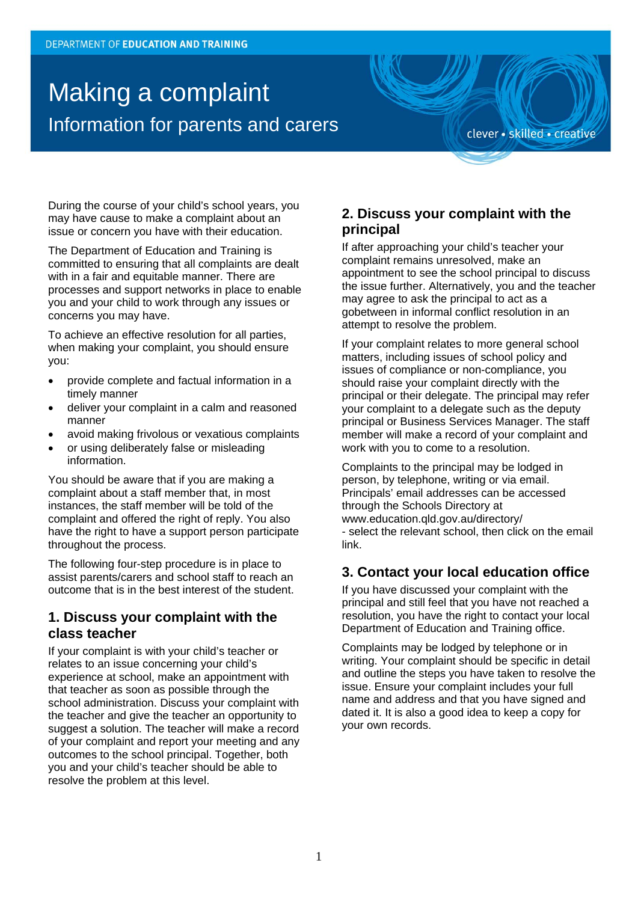# Making a complaint Information for parents and carers

clever · skilled · creative

During the course of your child's school years, you may have cause to make a complaint about an issue or concern you have with their education.

The Department of Education and Training is committed to ensuring that all complaints are dealt with in a fair and equitable manner. There are processes and support networks in place to enable you and your child to work through any issues or concerns you may have.

To achieve an effective resolution for all parties, when making your complaint, you should ensure you:

- provide complete and factual information in a timely manner
- deliver your complaint in a calm and reasoned manner
- avoid making frivolous or vexatious complaints
- or using deliberately false or misleading information.

You should be aware that if you are making a complaint about a staff member that, in most instances, the staff member will be told of the complaint and offered the right of reply. You also have the right to have a support person participate throughout the process.

The following four-step procedure is in place to assist parents/carers and school staff to reach an outcome that is in the best interest of the student.

### **1. Discuss your complaint with the class teacher**

If your complaint is with your child's teacher or relates to an issue concerning your child's experience at school, make an appointment with that teacher as soon as possible through the school administration. Discuss your complaint with the teacher and give the teacher an opportunity to suggest a solution. The teacher will make a record of your complaint and report your meeting and any outcomes to the school principal. Together, both you and your child's teacher should be able to resolve the problem at this level.

## **2. Discuss your complaint with the principal**

If after approaching your child's teacher your complaint remains unresolved, make an appointment to see the school principal to discuss the issue further. Alternatively, you and the teacher may agree to ask the principal to act as a gobetween in informal conflict resolution in an attempt to resolve the problem.

If your complaint relates to more general school matters, including issues of school policy and issues of compliance or non-compliance, you should raise your complaint directly with the principal or their delegate. The principal may refer your complaint to a delegate such as the deputy principal or Business Services Manager. The staff member will make a record of your complaint and work with you to come to a resolution.

Complaints to the principal may be lodged in person, by telephone, writing or via email. Principals' email addresses can be accessed through the Schools Directory at www.education.qld.gov.au/directory/ - select the relevant school, then click on the email link.

# **3. Contact your local education office**

If you have discussed your complaint with the principal and still feel that you have not reached a resolution, you have the right to contact your local Department of Education and Training office.

Complaints may be lodged by telephone or in writing. Your complaint should be specific in detail and outline the steps you have taken to resolve the issue. Ensure your complaint includes your full name and address and that you have signed and dated it. It is also a good idea to keep a copy for your own records.